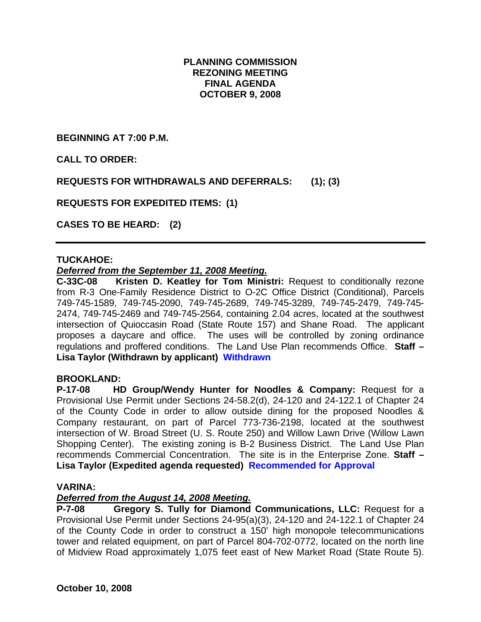## **PLANNING COMMISSION REZONING MEETING FINAL AGENDA OCTOBER 9, 2008**

**BEGINNING AT 7:00 P.M.** 

**CALL TO ORDER:** 

**REQUESTS FOR WITHDRAWALS AND DEFERRALS: (1); (3)** 

**REQUESTS FOR EXPEDITED ITEMS: (1)** 

**CASES TO BE HEARD: (2)** 

### **TUCKAHOE:**

### *Deferred from the September 11, 2008 Meeting.*

**C-33C-08 Kristen D. Keatley for Tom Ministri:** Request to conditionally rezone from R-3 One-Family Residence District to O-2C Office District (Conditional), Parcels 749-745-1589, 749-745-2090, 749-745-2689, 749-745-3289, 749-745-2479, 749-745- 2474, 749-745-2469 and 749-745-2564, containing 2.04 acres, located at the southwest intersection of Quioccasin Road (State Route 157) and Shane Road. The applicant proposes a daycare and office. The uses will be controlled by zoning ordinance regulations and proffered conditions. The Land Use Plan recommends Office. **Staff – Lisa Taylor (Withdrawn by applicant) Withdrawn**

### **BROOKLAND:**

**P-17-08 HD Group/Wendy Hunter for Noodles & Company:** Request for a Provisional Use Permit under Sections 24-58.2(d), 24-120 and 24-122.1 of Chapter 24 of the County Code in order to allow outside dining for the proposed Noodles & Company restaurant, on part of Parcel 773-736-2198, located at the southwest intersection of W. Broad Street (U. S. Route 250) and Willow Lawn Drive (Willow Lawn Shopping Center). The existing zoning is B-2 Business District. The Land Use Plan recommends Commercial Concentration. The site is in the Enterprise Zone. **Staff – Lisa Taylor (Expedited agenda requested) Recommended for Approval** 

### **VARINA:**

## *Deferred from the August 14, 2008 Meeting.*

**P-7-08 Gregory S. Tully for Diamond Communications, LLC:** Request for a Provisional Use Permit under Sections 24-95(a)(3), 24-120 and 24-122.1 of Chapter 24 of the County Code in order to construct a 150' high monopole telecommunications tower and related equipment, on part of Parcel 804-702-0772, located on the north line of Midview Road approximately 1,075 feet east of New Market Road (State Route 5).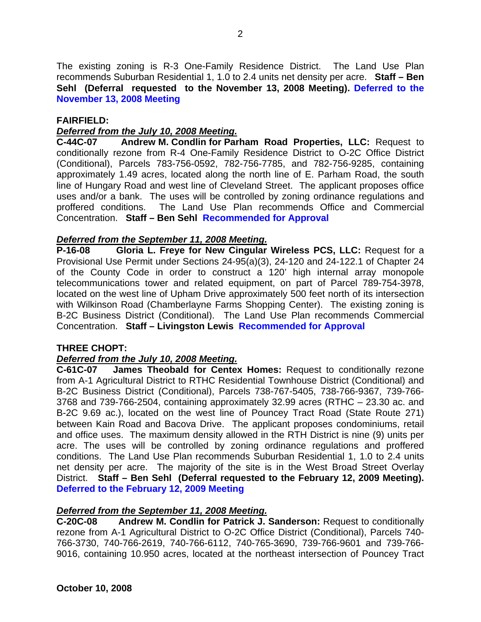The existing zoning is R-3 One-Family Residence District. The Land Use Plan recommends Suburban Residential 1, 1.0 to 2.4 units net density per acre. **Staff – Ben Sehl (Deferral requested to the November 13, 2008 Meeting). Deferred to the November 13, 2008 Meeting**

### **FAIRFIELD:**

### *Deferred from the July 10, 2008 Meeting.*

**C-44C-07 Andrew M. Condlin for Parham Road Properties, LLC:** Request to conditionally rezone from R-4 One-Family Residence District to O-2C Office District (Conditional), Parcels 783-756-0592, 782-756-7785, and 782-756-9285, containing approximately 1.49 acres, located along the north line of E. Parham Road, the south line of Hungary Road and west line of Cleveland Street. The applicant proposes office uses and/or a bank. The uses will be controlled by zoning ordinance regulations and proffered conditions. The Land Use Plan recommends Office and Commercial Concentration. **Staff – Ben Sehl Recommended for Approval**

### *Deferred from the September 11, 2008 Meeting.*

**P-16-08 Gloria L. Freye for New Cingular Wireless PCS, LLC:** Request for a Provisional Use Permit under Sections 24-95(a)(3), 24-120 and 24-122.1 of Chapter 24 of the County Code in order to construct a 120' high internal array monopole telecommunications tower and related equipment, on part of Parcel 789-754-3978, located on the west line of Upham Drive approximately 500 feet north of its intersection with Wilkinson Road (Chamberlayne Farms Shopping Center). The existing zoning is B-2C Business District (Conditional). The Land Use Plan recommends Commercial Concentration. **Staff – Livingston Lewis Recommended for Approval**

### **THREE CHOPT:**

## *Deferred from the July 10, 2008 Meeting.*

**C-61C-07 James Theobald for Centex Homes:** Request to conditionally rezone from A-1 Agricultural District to RTHC Residential Townhouse District (Conditional) and B-2C Business District (Conditional), Parcels 738-767-5405, 738-766-9367, 739-766- 3768 and 739-766-2504, containing approximately 32.99 acres (RTHC – 23.30 ac. and B-2C 9.69 ac.), located on the west line of Pouncey Tract Road (State Route 271) between Kain Road and Bacova Drive. The applicant proposes condominiums, retail and office uses. The maximum density allowed in the RTH District is nine (9) units per acre. The uses will be controlled by zoning ordinance regulations and proffered conditions. The Land Use Plan recommends Suburban Residential 1, 1.0 to 2.4 units net density per acre. The majority of the site is in the West Broad Street Overlay District. **Staff – Ben Sehl (Deferral requested to the February 12, 2009 Meeting). Deferred to the February 12, 2009 Meeting**

### *Deferred from the September 11, 2008 Meeting.*

**C-20C-08 Andrew M. Condlin for Patrick J. Sanderson:** Request to conditionally rezone from A-1 Agricultural District to O-2C Office District (Conditional), Parcels 740- 766-3730, 740-766-2619, 740-766-6112, 740-765-3690, 739-766-9601 and 739-766- 9016, containing 10.950 acres, located at the northeast intersection of Pouncey Tract